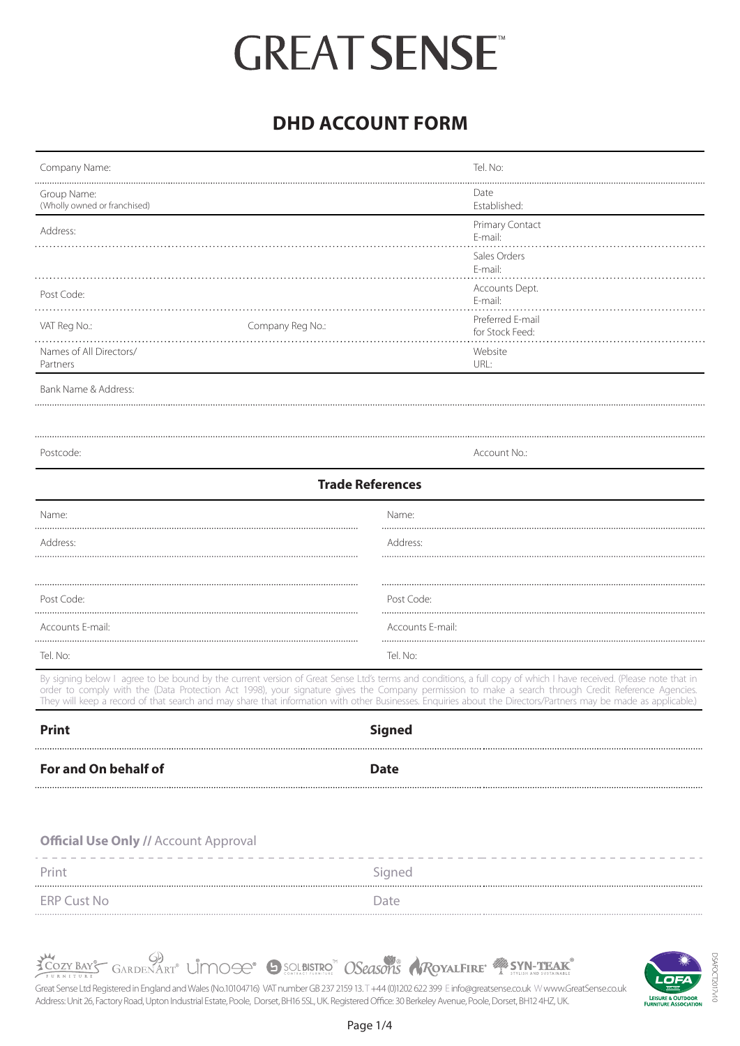# **DHD ACCOUNT FORM**

| Company Name:                                                                                                                                                                                                                                                                                                                                                                                                                                                                                | Tel. No:                            |
|----------------------------------------------------------------------------------------------------------------------------------------------------------------------------------------------------------------------------------------------------------------------------------------------------------------------------------------------------------------------------------------------------------------------------------------------------------------------------------------------|-------------------------------------|
| Group Name:<br>(Wholly owned or franchised)                                                                                                                                                                                                                                                                                                                                                                                                                                                  | Date<br>Established:                |
| Address:                                                                                                                                                                                                                                                                                                                                                                                                                                                                                     | Primary Contact<br>E-mail:          |
|                                                                                                                                                                                                                                                                                                                                                                                                                                                                                              | Sales Orders<br>E-mail:             |
|                                                                                                                                                                                                                                                                                                                                                                                                                                                                                              | Accounts Dept.                      |
| Post Code:                                                                                                                                                                                                                                                                                                                                                                                                                                                                                   | E-mail:                             |
| VAT Reg No.:<br>Company Reg No.:                                                                                                                                                                                                                                                                                                                                                                                                                                                             | Preferred E-mail<br>for Stock Feed: |
| Names of All Directors/                                                                                                                                                                                                                                                                                                                                                                                                                                                                      | Website                             |
| Partners                                                                                                                                                                                                                                                                                                                                                                                                                                                                                     | URL:                                |
| Bank Name & Address:                                                                                                                                                                                                                                                                                                                                                                                                                                                                         |                                     |
|                                                                                                                                                                                                                                                                                                                                                                                                                                                                                              |                                     |
| Postcode:                                                                                                                                                                                                                                                                                                                                                                                                                                                                                    | Account No.:                        |
| <b>Trade References</b>                                                                                                                                                                                                                                                                                                                                                                                                                                                                      |                                     |
| Name:                                                                                                                                                                                                                                                                                                                                                                                                                                                                                        | Name:                               |
| Address:                                                                                                                                                                                                                                                                                                                                                                                                                                                                                     | Address:                            |
|                                                                                                                                                                                                                                                                                                                                                                                                                                                                                              |                                     |
| Post Code:                                                                                                                                                                                                                                                                                                                                                                                                                                                                                   | Post Code:                          |
| Accounts E-mail:                                                                                                                                                                                                                                                                                                                                                                                                                                                                             | Accounts E-mail:                    |
| Tel. No:                                                                                                                                                                                                                                                                                                                                                                                                                                                                                     | Tel. No:                            |
| By signing below I agree to be bound by the current version of Great Sense Ltd's terms and conditions, a full copy of which I have received. (Please note that in<br>order to comply with the (Data Protection Act 1998), your signature gives the Company permission to make a search through Credit Reference Agencies.<br>They will keep a record of that search and may share that information with other Businesses. Enquiries about the Directors/Partners may be made as applicable.) |                                     |
| <b>Print</b>                                                                                                                                                                                                                                                                                                                                                                                                                                                                                 | <b>Signed</b>                       |
| For and On behalf of                                                                                                                                                                                                                                                                                                                                                                                                                                                                         | <b>Date</b>                         |
|                                                                                                                                                                                                                                                                                                                                                                                                                                                                                              |                                     |
|                                                                                                                                                                                                                                                                                                                                                                                                                                                                                              |                                     |
| <b>Official Use Only // Account Approval</b>                                                                                                                                                                                                                                                                                                                                                                                                                                                 |                                     |
| Print                                                                                                                                                                                                                                                                                                                                                                                                                                                                                        | Signed                              |
| <b>ERP Cust No</b>                                                                                                                                                                                                                                                                                                                                                                                                                                                                           | Date                                |
|                                                                                                                                                                                                                                                                                                                                                                                                                                                                                              |                                     |



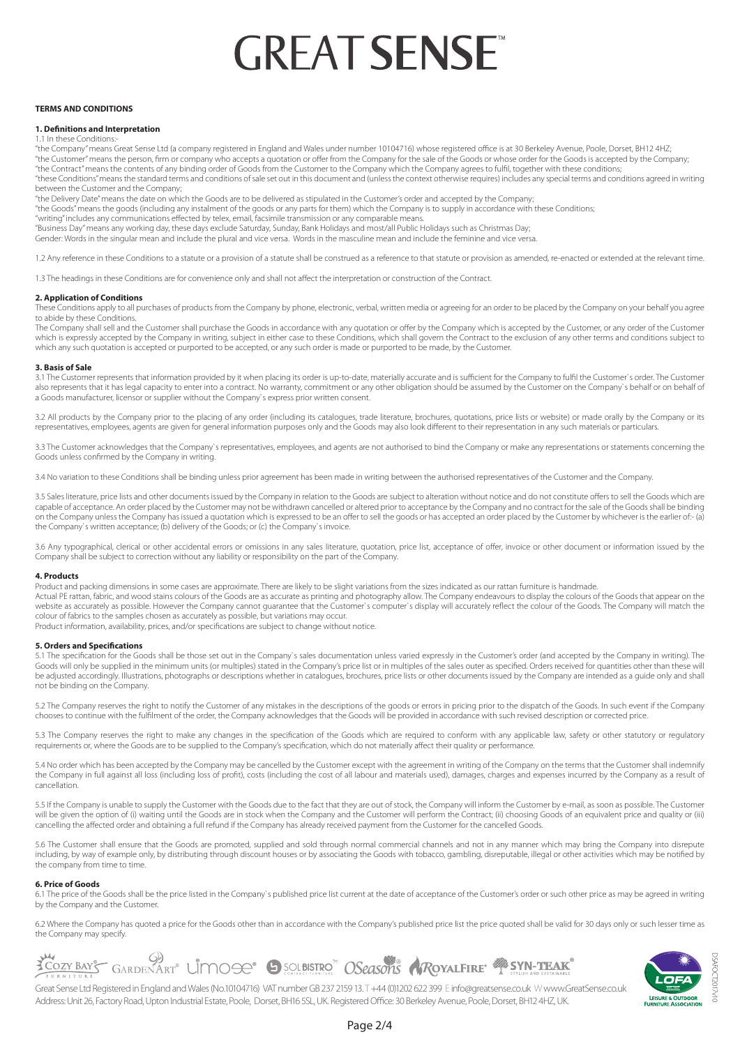#### **TERMS AND CONDITIONS**

# **1. Definitions and Interpretation**

1.1 In these Conditions:

"the Company" means Great Sense Ltd (a company registered in England and Wales under number 10104716) whose registered office is at 30 Berkeley Avenue, Poole, Dorset, BH12 4HZ; "the Customer" means the person, firm or company who accepts a quotation or offer from the Company for the sale of the Goods or whose order for the Goods is accepted by the Company;

"the Contract" means the contents of any binding order of Goods from the Customer to the Company which the Company agrees to fulfil, together with these conditions;

"these Conditions" means the standard terms and conditions of sale set out in this document and (unless the context otherwise requires) includes any special terms and conditions agreed in writing between the Customer and the Company;

"the Delivery Date" means the date on which the Goods are to be delivered as stipulated in the Customer's order and accepted by the Company;

"the Goods" means the goods (including any instalment of the goods or any parts for them) which the Company is to supply in accordance with these Conditions;

"writing" includes any communications effected by telex, email, facsimile transmission or any comparable means.

"Business Day" means any working day, these days exclude Saturday, Sunday, Bank Holidays and most/all Public Holidays such as Christmas Day;

Gender: Words in the singular mean and include the plural and vice versa. Words in the masculine mean and include the feminine and vice versa.

1.2 Any reference in these Conditions to a statute or a provision of a statute shall be construed as a reference to that statute or provision as amended, re-enacted or extended at the relevant time.

1.3 The headings in these Conditions are for convenience only and shall not affect the interpretation or construction of the Contract.

# **2. Application of Conditions**

These Conditions apply to all purchases of products from the Company by phone, electronic, verbal, written media or agreeing for an order to be placed by the Company on your behalf you agree to abide by these Conditions.

The Company shall sell and the Customer shall purchase the Goods in accordance with any quotation or offer by the Company which is accepted by the Customer, or any order of the Customer which is expressly accepted by the Company in writing, subject in either case to these Conditions, which shall govern the Contract to the exclusion of any other terms and conditions subject to which any such quotation is accepted or purported to be accepted, or any such order is made or purported to be made, by the Customer.

#### **3. Basis of Sale**

3.1 The Customer represents that information provided by it when placing its order is up-to-date, materially accurate and is sufficient for the Company to fulfil the Customer`s order. The Customer also represents that it has legal capacity to enter into a contract. No warranty, commitment or any other obligation should be assumed by the Customer on the Company's behalf or on behalf or on behalf or on behalf or on be a Goods manufacturer, licensor or supplier without the Company`s express prior written consent.

3.2 All products by the Company prior to the placing of any order (including its catalogues, trade literature, brochures, quotations, price lists or website) or made orally by the Company or its representatives, employees, agents are given for general information purposes only and the Goods may also look different to their representation in any such materials or particulars.

3.3 The Customer acknowledges that the Company's representatives, employees, and agents are not authorised to bind the Company or make any representations or statements concerning the Goods unless confirmed by the Company in writing.

3.4 No variation to these Conditions shall be binding unless prior agreement has been made in writing between the authorised representatives of the Customer and the Company.

3.5 Sales literature, price lists and other documents issued by the Company in relation to the Goods are subject to alteration without notice and do not constitute offers to sell the Goods which are capable of acceptance. An order placed by the Customer may not be withdrawn cancelled or altered prior to acceptance by the Company and no contract for the sale of the Goods shall be binding on the Company unless the Company has issued a quotation which is expressed to be an offer to sell the goods or has accepted an order placed by the Customer by whichever is the earlier of:- (a) the Company`s written acceptance; (b) delivery of the Goods; or (c) the Company`s invoice.

3.6 Any typographical, clerical or other accidental errors or omissions in any sales literature, quotation, price list, acceptance of offer, invoice or other document or information issued by the Company shall be subject to correction without any liability or responsibility on the part of the Company.

# **4. Products**

Product and packing dimensions in some cases are approximate. There are likely to be slight variations from the sizes indicated as our rattan furniture is handmade. Actual PE rattan, fabric, and wood stains colours of the Goods are as accurate as printing and photography allow. The Company endeavours to display the colours of the Goods that appear on the website as accurately as possible. However the Company cannot quarantee that the Customer's computer's display will accurately reflect the colour of the Goods. The Company will match the colour of fabrics to the samples chosen as accurately as possible, but variations may occur.

Product information, availability, prices, and/or specifications are subject to change without notice.

#### **5. Orders and Specifications**

5.1 The specification for the Goods shall be those set out in the Company's sales documentation unless varied expressly in the Customer's order (and accepted by the Company in writing). The Goods will only be supplied in the minimum units (or multiples) stated in the Company's price list or in multiples of the sales outer as specified. Orders received for quantities other than these will be adjusted accordingly. Illustrations, photographs or descriptions whether in catalogues, brochures, price lists or other documents issued by the Company are intended as a guide only and shall not be binding on the Company.

5.2 The Company reserves the right to notify the Customer of any mistakes in the descriptions of the goods or errors in pricing prior to the dispatch of the Goods. In such event if the Company chooses to continue with the fulfilment of the order, the Company acknowledges that the Goods will be provided in accordance with such revised description or corrected price.

5.3 The Company reserves the right to make any changes in the specification of the Goods which are required to conform with any applicable law, safety or other statutory or regulatory requirements or, where the Goods are to be supplied to the Company's specification, which do not materially affect their quality or performance.

5.4 No order which has been accepted by the Company may be cancelled by the Customer except with the agreement in writing of the Company on the terms that the Customer shall indemnify the Company in full against all loss (including loss of profit), costs (including the cost of all labour and materials used), damages, charges and expenses incurred by the Company as a result of cancellation.

5.5 If the Company is unable to supply the Customer with the Goods due to the fact that they are out of stock, the Company will inform the Customer by e-mail, as soon as possible. The Customer will be given the option of (i) waiting until the Goods are in stock when the Company and the Customer will perform the Contract; (ii) choosing Goods of an equivalent price and quality or (iii) cancelling the affected order and obtaining a full refund if the Company has already received payment from the Customer for the cancelled Goods.

5.6 The Customer shall ensure that the Goods are promoted, supplied and sold through normal commercial channels and not in any manner which may bring the Company into disrepute including, by way of example only, by distributing through discount houses or by associating the Goods with tobacco, gambling, disreputable, illegal or other activities which may be notified by the company from time to time.

# **6. Price of Goods**

6.1 The price of the Goods shall be the price listed in the Company`s published price list current at the date of acceptance of the Customer's order or such other price as may be agreed in writing by the Company and the Customer.

6.2 Where the Company has quoted a price for the Goods other than in accordance with the Company's published price list the price quoted shall be valid for 30 days only or such lesser time as the Company may specify.



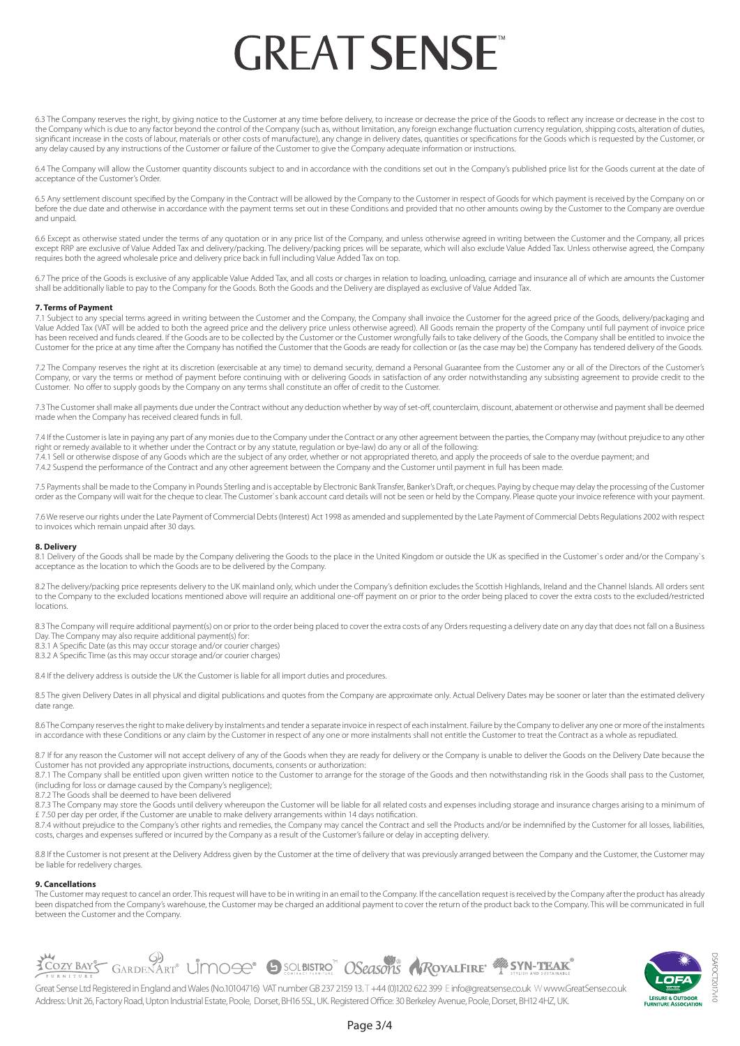6.3 The Company reserves the right, by giving notice to the Customer at any time before delivery, to increase or decrease the price of the Goods to reflect any increase or decrease in the cost to the Company which is due to any factor beyond the control of the Company (such as, without limitation, any foreign exchange fluctuation currency regulation, shipping costs, alteration of duties, significant increase in the costs of labour, materials or other costs of manufacture), any change in delivery dates, quantities or specifications for the Goods which is requested by the Customer, or any delay caused by any instructions of the Customer or failure of the Customer to give the Company adequate information or instructions.

6.4 The Company will allow the Customer quantity discounts subject to and in accordance with the conditions set out in the Company's published price list for the Goods current at the date of acceptance of the Customer's Order.

6.5 Any settlement discount specified by the Company in the Contract will be allowed by the Company to the Customer in respect of Goods for which payment is received by the Company on or before the due date and otherwise in accordance with the payment terms set out in these Conditions and provided that no other amounts owing by the Customer to the Company are overdue and unpaid.

6.6 Except as otherwise stated under the terms of any quotation or in any price list of the Company, and unless otherwise agreed in writing between the Customer and the Company, all prices except RRP are exclusive of Value Added Tax and delivery/packing. The delivery/packing prices will be separate, which will also exclude Value Added Tax. Unless otherwise agreed, the Company requires both the agreed wholesale price and delivery price back in full including Value Added Tax on top.

6.7 The price of the Goods is exclusive of any applicable Value Added Tax, and all costs or charges in relation to loading, unloading, carriage and insurance all of which are amounts the Customer shall be additionally liable to pay to the Company for the Goods. Both the Goods and the Delivery are displayed as exclusive of Value Added Tax.

# **7. Terms of Payment**

7.1 Subject to any special terms agreed in writing between the Customer and the Company, the Company shall invoice the Customer for the agreed price of the Goods, delivery/packaging and Value Added Tax (VAT will be added to both the agreed price and the delivery price unless otherwise agreed). All Goods remain the property of the Company until full payment of invoice price has been received and funds cleared. If the Goods are to be collected by the Customer or the Customer wrongfully fails to take delivery of the Goods, the Company shall be entitled to invoice the Customer for the price at any time after the Company has notified the Customer that the Goods are ready for collection or (as the case may be) the Company has tendered delivery of the Goods.

7.2 The Company reserves the right at its discretion (exercisable at any time) to demand security, demand a Personal Guarantee from the Customer any or all of the Directors of the Customer's Company, or vary the terms or method of payment before continuing with or delivering Goods in satisfaction of any order notwithstanding any subsisting agreement to provide credit to the Customer. No offer to supply goods by the Company on any terms shall constitute an offer of credit to the Customer.

7.3 The Customer shall make all payments due under the Contract without any deduction whether by way of set-off, counterclaim, discount, abatement or otherwise and payment shall be deemed made when the Company has received cleared funds in full.

7.4 If the Customer is late in paying any part of any monies due to the Company under the Contract or any other agreement between the parties, the Company may (without prejudice to any other right or remedy available to it whether under the Contract or by any statute, regulation or bye-law) do any or all of the following:

7.4.1 Sell or otherwise dispose of any Goods which are the subject of any order, whether or not appropriated thereto, and apply the proceeds of sale to the overdue payment; and apply the proceeds of sale to the overdue pay

7.4.2 Suspend the performance of the Contract and any other agreement between the Company and the Customer until payment in full has been made.

7.5 Payments shall be made to the Company in Pounds Sterling and is acceptable by Electronic Bank Transfer, Banker's Draft, or cheques. Paying by cheque may delay the processing of the Customer order as the Company will wait for the cheque to clear. The Customer`s bank account card details will not be seen or held by the Company. Please quote your invoice reference with your payment.

7.6 We reserve our rights under the Late Payment of Commercial Debts (Interest) Act 1998 as amended and supplemented by the Late Payment of Commercial Debts Regulations 2002 with respect to invoices which remain unpaid after 30 days.

#### **8. Delivery**

8.1 Delivery of the Goods shall be made by the Company delivering the Goods to the place in the United Kingdom or outside the UK as specified in the Customer's order and/or the Company's acceptance as the location to which the Goods are to be delivered by the Company.

8.2 The delivery/packing price represents delivery to the UK mainland only, which under the Company's definition excludes the Scottish Highlands, Ireland and the Channel Islands. All orders sent to the Company to the excluded locations mentioned above will require an additional one-off payment on or prior to the order being placed to cover the extra costs to the excluded/restricted locations.

8.3 The Company will require additional payment(s) on or prior to the order being placed to cover the extra costs of any Orders requesting a delivery date on any day that does not fall on a Business

- Day. The Company may also require additional payment(s) for:
- 8.3.1 A Specific Date (as this may occur storage and/or courier charges)
- 8.3.2 A Specific Time (as this may occur storage and/or courier charges)

8.4 If the delivery address is outside the UK the Customer is liable for all import duties and procedures.

8.5 The given Delivery Dates in all physical and digital publications and quotes from the Company are approximate only. Actual Delivery Dates may be sooner or later than the estimated delivery date range.

8.6 The Company reserves the right to make delivery by instalments and tender a separate invoice in respect of each instalment. Failure by the Company to deliver any one or more of the instalments in accordance with these Conditions or any claim by the Customer in respect of any one or more instalments shall not entitle the Customer to treat the Contract as a whole as repudiated.

8.7 If for any reason the Customer will not accept delivery of any of the Goods when they are ready for delivery or the Company is unable to deliver the Goods on the Delivery Date because the Customer has not provided any appropriate instructions, documents, consents or authorization:

8.7.1 The Company shall be entitled upon given written notice to the Customer to arrange for the storage of the Goods and then notwithstanding risk in the Goods shall pass to the Customer, (including for loss or damage caused by the Company's negligence);

8.7.2 The Goods shall be deemed to have been delivered

8.7.3 The Company may store the Goods until delivery whereupon the Customer will be liable for all related costs and expenses including storage and insurance charges arising to a minimum of £ 7.50 per day per order, if the Customer are unable to make delivery arrangements within 14 days notification.

8.7.4 without prejudice to the Company's other rights and remedies, the Company may cancel the Contract and sell the Products and/or be indemnified by the Customer for all losses, liabilities, costs, charges and expenses suffered or incurred by the Company as a result of the Customer's failure or delay in accepting delivery.

8.8 If the Customer is not present at the Delivery Address given by the Customer at the time of delivery that was previously arranged between the Company and the Customer, the Customer may be liable for redelivery charges.

#### **9. Cancellations**

The Customer may request to cancel an order. This request will have to be in writing in an email to the Company. If the cancellation request is received by the Company after the product has already been dispatched from the Company's warehouse, the Customer may be charged an additional payment to cover the return of the product back to the Company. This will be communicated in full between the Customer and the Company.